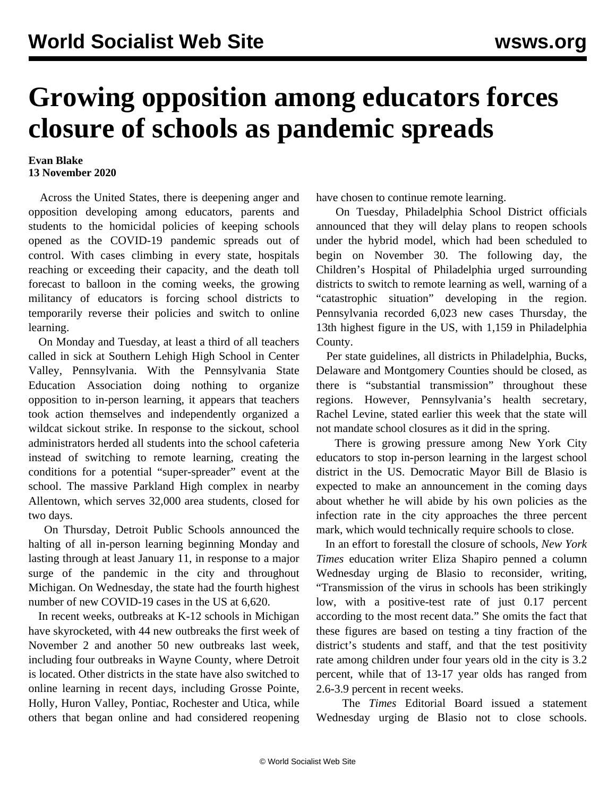## **Growing opposition among educators forces closure of schools as pandemic spreads**

## **Evan Blake 13 November 2020**

 Across the United States, there is deepening anger and opposition developing among educators, parents and students to the homicidal policies of keeping schools opened as the COVID-19 pandemic spreads out of control. With cases climbing in every state, hospitals reaching or exceeding their capacity, and the death toll forecast to balloon in the coming weeks, the growing militancy of educators is forcing school districts to temporarily reverse their policies and switch to online learning.

 On Monday and Tuesday, at least a third of all teachers called in sick at Southern Lehigh High School in Center Valley, Pennsylvania. With the Pennsylvania State Education Association doing nothing to organize opposition to in-person learning, it appears that teachers took action themselves and independently organized a wildcat sickout strike. In response to the sickout, school administrators herded all students into the school cafeteria instead of switching to remote learning, creating the conditions for a potential "super-spreader" event at the school. The massive Parkland High complex in nearby Allentown, which serves 32,000 area students, closed for two days.

 On Thursday, Detroit Public Schools announced the halting of all in-person learning beginning Monday and lasting through at least January 11, in response to a major surge of the pandemic in the city and throughout Michigan. On Wednesday, the state had the fourth highest number of new COVID-19 cases in the US at 6,620.

 In recent weeks, outbreaks at K-12 schools in Michigan [have skyrocketed,](/en/articles/2020/11/06/mich-n06.html) with 44 new outbreaks the first week of November 2 and another 50 new outbreaks last week, including four outbreaks in Wayne County, where Detroit is located. Other districts in the state have also switched to online learning in recent days, including Grosse Pointe, Holly, Huron Valley, Pontiac, Rochester and Utica, while others that began online and had considered reopening have chosen to continue remote learning.

 On Tuesday, Philadelphia School District officials announced that they will delay plans to reopen schools under the hybrid model, which had been scheduled to begin on November 30. The following day, the Children's Hospital of Philadelphia urged surrounding districts to switch to remote learning as well, warning of a "catastrophic situation" developing in the region. Pennsylvania recorded 6,023 new cases Thursday, the 13th highest figure in the US, with 1,159 in Philadelphia County.

 Per state guidelines, all districts in Philadelphia, Bucks, Delaware and Montgomery Counties should be closed, as there is "substantial transmission" throughout these regions. However, Pennsylvania's health secretary, Rachel Levine, stated earlier this week that the state will not mandate school closures as it did in the spring.

 There is growing pressure among New York City educators to stop in-person learning in the largest school district in the US. Democratic Mayor Bill de Blasio is expected to make an announcement in the coming days about whether he will abide by his own policies as the infection rate in the city approaches the three percent mark, which would technically require schools to close.

 In an effort to forestall the closure of schools, *New York Times* education writer Eliza Shapiro penned a column Wednesday urging de Blasio to reconsider, writing, "Transmission of the virus in schools has been strikingly low, with a positive-test rate of just 0.17 percent according to the most recent data." She omits the fact that these figures are based on [testing a tiny fraction](/en/articles/2020/10/28/nycs-o28.html) of the district's students and staff, and that the test positivity rate among children under four years old in the city is 3.2 percent, while that of 13-17 year olds has ranged from 2.6-3.9 percent in recent weeks.

 The *Times* Editorial Board issued a statement Wednesday urging de Blasio not to close schools.